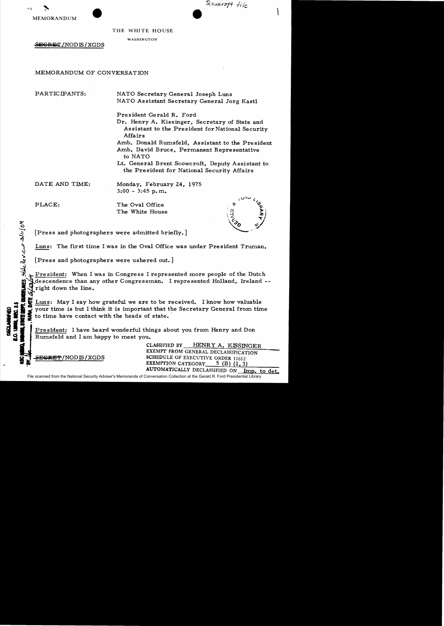



THE WHITE HOUSE

WASHINGTON

SEGRET/NOD IS / XGDS

## MEMORANDUM OF CONVERSATION

PARTICIPANTS: NATO Secretary General Joseph Luns NATO Assistant Secretary General Jorg Kastl

President Gerald R. Ford

Dr. Henry A. Kissinger, Secretary of State and Assistant to the President for National Security Affairs

Amb. Donald Rumsfeld, Assistant to the President Amb. David Bruce, Permanent Representative to NATO

Lt. General Brent Scowcroft, Deputy Assistant to the Pre sident for National Security Affairs

DATE AND TIME: Monday, February 24, 1975 3:00 - 3:45 p. m.

 $\zeta$ 2/11/04

<sub>ა</sub> კ///<mark>(</mark>ბ'

 $\ddot{\cdot}$ 

ا<br>آباد

PLACE: The Oval Office The White House



[Press and photographers were admitted briefly.]

Luns: The first time I was in the Oval Office was under President Truman.

[Press and photographers were ushered out.]

President: When I was in Congress I represented more people of the Dutch descendence than any other Congressman. I represented Holland, Ireland -right down the line.

Fight down the line.<br>
The Luns: May I say how grateful we are to be received. I know how valuable<br>
states with the secretary General from time<br>
states in the secretary of the line and contact with the heads of state.<br>
The

Rumsfeld and I am happy to meet you.

CLASSIFIED BY HENRY A. KISSINGER EXEMPT FROM GENERAL DECLASSIFICATION SECRET/NODIS/XGDS SCHEDULE OF EXECUTIVE ORDER 11652 EXEMPTION CATEGORY  $5$  (B) (1,3) AUTOMATICALLY DECLASSIFIED ON Imp. to det.

File scanned from the National Security Adviser's Memoranda of Conversation Collection at the Gerald R. Ford Presidential Library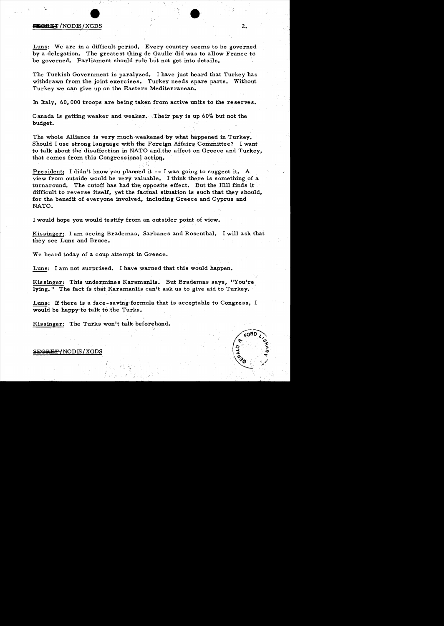# ~Bs:r/NODIS/XGDS •

'.

Luns: We are in a difficult period. Every country seems to be governed by a delegation. The greatest thing de Gaulle did was to allow France to be governed. Parliament should rule but not get into details.

The Turkish Government is paralyzed. I have just heard that Turkey has withdrawn from the joint exercises. Turkey needs spare parts. Without Turkey we can give up on the Eastern Mediterranean.

In Italy, 60, 000 troops are being taken from active units to the reserves.

Canada is getting weaker and weaker. Their pay is up 60% but not the budget.

The whole Alliance is very much weakened by what happened in Turkey. Should I use strong language with the Foreign Affairs Committee? I want to talk about the disaffection in NATO and the affect on Greece and Turkey, that comes from this Congressional action.

President: I didn't know you planned it  $-$ - I was going to suggest it. A view from outside would be very valuable. I think there is something of a turnaround. The cutoff has had the opposite effect. But the Hill finds it difficult to reverse itself, yet the factual situation is such that they should, for the benefit of everyone involved, including Greece and Cyprus and NATO.

I would hope you would testify from an outsider point of view.

Kissinger: I am seeing Brademas, Sarbanes and Rosenthal. I will ask that they see Luns and Bruce.

We heard today of a coup attempt in Greece.

Luns: I am not surprised. I have warned that this would happen.

, "'."t

Kissinger: This undermines Karamanlis. But Brademas says, "You're lying." The fact is that Karamanlis can't ask us to give aid to Turkey.

Luns: If there is a face-saving formula that is acceptable to Congress, I would be happy to talk to the Turks.

Kissinger: The Turks won't talk beforehand.

# $SEGREF/NODIS/XGDS$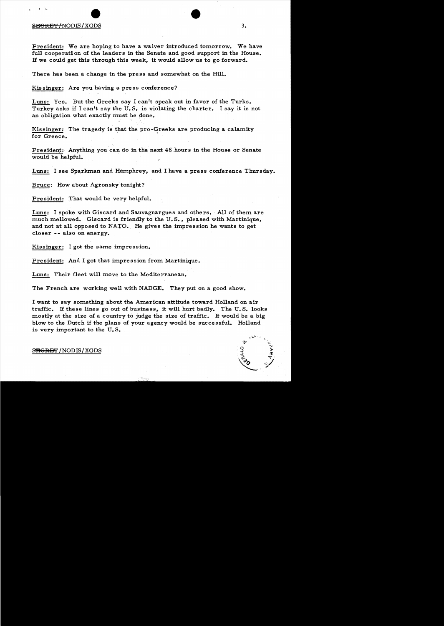#### $S$ <del>EGRET/</del>NODIS/XGDS  $3.$

• 'w

President: We are hoping to have a waiver introduced tomorrow. We have full cooperation of the leaders in the Senate and good support in the House. If we could get this through this week, it would allow us to go forward.

There has been a change in the press and somewhat on the Hill.

Kissinger: Are you having a press conference?

Luns: Yes. But the Greeks say I can't speak out in favor of the Turks. Turkey asks if I can't say the U. S. is violating the charter. I say it is not an obligation what exactly must be done.

Kissinger: The tragedy is that the pro-Greeks are producing a calamity for Greece.

President: Anything you can do in the next 48 hours in the House or Senate would be helpful.

Luns: I see Sparkman and Humphrey, and I have a press conference Thursday.

Bruce: How about Agronsky tonight?

President: That would be very helpful.

Luns: I spoke with Giscard and Sauvagnargues and others. All of them are much mellowed. Giscard is friendly to the U. S., pleased with Martinique, and not at all opposed to NATO. He gives the impression he wants to get closer -- also on energy.

Kissinger: I got the same impression.

President: And I got that impression from Martinique.

Luns: Their fleet will move to the Mediterranean.

The French are working well with NADGE. They put on a good show.

I want to say something about the American attitude toward Holland on air traffic. If these lines go out of business, it will hurt badly. The U. S. looks mostly at the size of a country to judge the size of traffic. It would be a big blow to the Dutch if the plans of your agency would be successful. Holland is very important to the U. S.

#### SRGRET/NODIS/XGDS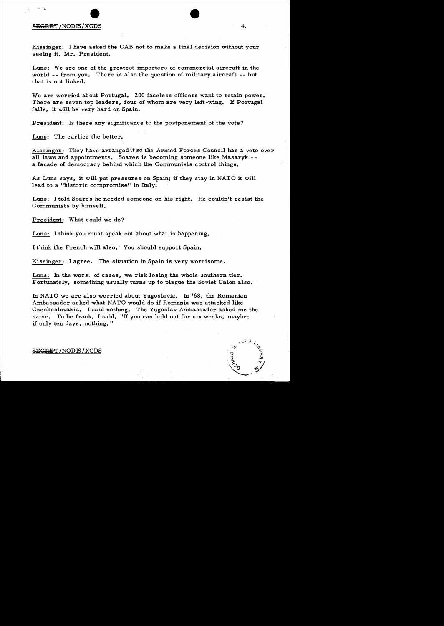### $S_{\text{EGRET}}$  /NODIS / XGDS  $4.$

,  $\sim$ 

Kissinger: I have asked the CAB not to make a final decision without your seeing it, Mr. President.

Luns: We are one of the greatest importers of commercial aircraft in the world -- from you. There is also the question of military aircraft -- but that is not linked.

We are worried about Portugal. 200 faceless officers want to retain power. There are seven top leaders, four of whom are very left-wing. If Portugal falls, it will be very hard on Spain.

President: Is there any significance to the postponement of the vote?

Luns: The earlier the better.

Kissinger: They have arranged it so the Armed Forces Council has a veto over all laws and appointments. Soares is becoming someone like Masaryk  $-$ a facade of democracy behind which the Communists control things.

As Luns says, it will put pressures on Spain; if they stay in NATO it will lead to a "historic compromise" in Italy.

Luns: I told Soares he needed someone on his right. He couldn't resist the Communists by himself.

President: What could we do?

Luns: I think you must speak out about what is happening.

I think the French will also. You should support Spain.

Kissinger: I agree. The situation in Spain is very worrisome.

Luns: In the worst of cases, we risk losing the whole southern tier. Fortunately, something usually turns up to plague the Soviet Union also.

In NATO we are also worried about Yugoslavia. In '68, the Romanian Ambassador asked what NATO would do if Romania was attacked like Czechoslovakia. I said nothing. The Yugoslav Ambassador asked me the same. To be frank, I said, "If you can hold out for six weeks, maybe; if only ten days, nothing."

#### **S};(,lUiJlI'** /NODffi/XGDS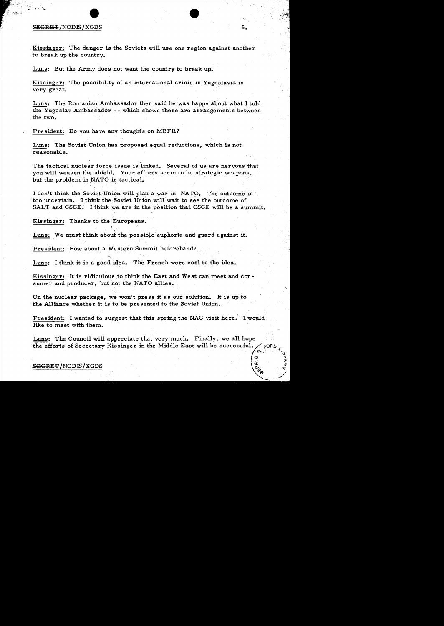#### $S_{\rm EGREF/NODIS/XGDS}$  5.

':"·

*,34;,..* ),:t:;:;......',i '" F

" सम्बद्धियो<sub>ल क</sub>ो।<br>ज

Kissinger: The danger is the Soviets will use one region against another to break up the country.

Luns: But the Army does not want the country to break up.

Kissinger: The possibility of an international crisis in Yugoslavia is very great.

Luns: The Romanian Ambassador then said he was happy about what I told the Yugoslav Ambassador  $-$ - which shows there are arrangements between the two.

President: Do you have any thoughts on MBFR?

Luns: The Soviet Union has proposed equal reductions, which is not reasonable.

The tactical nuclear force issue is linked. Several of us are nervous that you will weaken the shield. Your efforts seem to be strategic weapons, but the problem in NATO is tactical.

I don't think the Soviet Union will plan a war in NATO. The outcome is too uncertain. I think the Soviet Union will wait to see the outcome of SALT and CSCE. I think we are in the position that CSCE will be a summit.

Kissinger: Thanks to the Europeans.

Luns: We must think about the possible euphoria and guard against it.

President: How about a Western Summit beforehand?

 $\ddot{\cdot}$ c

Luns: I think it is a good idea. The French were cool to the idea.

Kissinger: It is ridiculous to think the East and West can meet and consumer and producer, but not the NATO allies.

On the nuclear package, we won't press it as our solution. It is up to the Alliance whether it is to be presented to the Soviet Union.

President: I wanted to suggest that this spring the NAC visit here. I would like to meet with them.

Luns: The Council will appreciate that very much. Finally, we all hope the efforts of Secretary Kissinger in the Middle East will be successful.

f9~ 5;

 $\frac{1}{2}$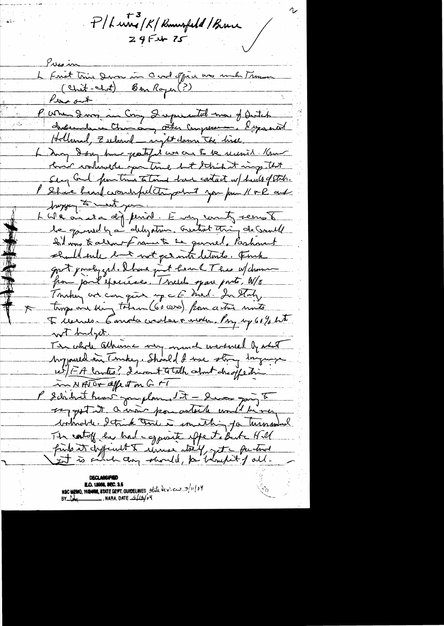P/Lung/K/Rumsfeld/Bruce  $295 + 75$ 

Presin<br>L'Enst Trie Devon in Overlopie une meta Trences Presion (Chit-chit) Ban Royer (?) Persont. Pureaux<br>Pure dans au Cong Quepucatel mon of Outch chemine Chance atter compression. I sportal Hollenal, Zuleand - right dann The hire Lang doing home patified we are to be united that hair colined you time but think it may that Steg Gal functions totand have contact w/ heals of State. Shace heard crowdsfulcture part you prin 11 & R and hoppen to make you. L We and a differrit Em county remote le gamed ha delystin, nutrot thing de Could Ind was to allow frame to be garned, Parkment should sule but not get into leterite. Fink got probyged. I have just hear & These w/ chance from part exercises. I vieles spare ports. W/o Tomber and can give up a f hed. In Story tings and bing today (60000) from a true units Tremes. Canada carles à viole. My by 60% bit with myst. The whole attenue very much wertweel by what Mypoured in Tempey. Should I use stry Ingury 15/FA contre? I'want totalk colont des jedin MATO+ affect on G FT l'Idrihat heart jourplan, 15 - Devor joing 8 saggested a war pourated und be very which I think that I smalling to turnsment The catof by had copposite effect a Butch Hill finds it dysfinit to unice they, to further

**E.O. 12058, SEC. 3.6**<br>NSC MEMO, 192408, STATE DEPT. GUIDELINES, State devien 3/11/07<br>BY Comparison NARA, DATE 4/12/04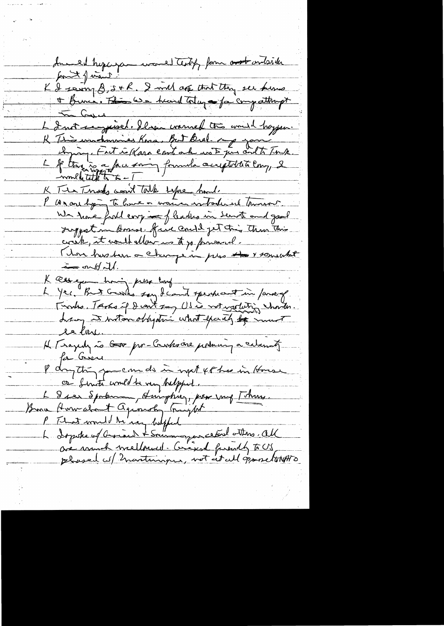Include hyperparament testify form and onlink for the final K & saint & s + R. I will ack that they see heme In Cased L Instrumentant Plan warned the would happen.<br>R This washmanned Kora, Bot Bral. 2005 your conte Tong.<br>L f they is a face overy formula acceptation comp, 2<br>- multitude to a Tour on the completion comp. K Ter Trades word tolk suppe had. P as one hyping to have a warren worker ind thrower. We have full corp in fleaders in Sent and good Juggest in Hosess. five could get this than this cont, it would allow us to go forward. Mon husban a change in pres to 1 somewhat  $\frac{1}{\sqrt{2}}$  and  $\frac{1}{\sqrt{2}}$ . K correge having press long K Research to the say of can't specificant in former of le la H Tsajedy no Goo por-Creates are portuning a calumnity for beser P day they you can do in next 48 has in House or finite would be very helpful. L 8 ser Spranu, surphiez, pour vous [thus. Bonne Hormaliant agréerate (majdet "manuel 1990)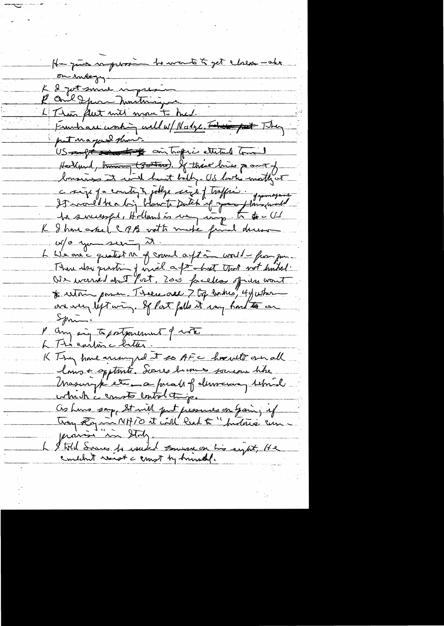- to wants to get closes - alex H-zur mprox on indegy. L 2 just somme in presi P One I pour montmayor L Thea flut will man to med. Frankare working will w/ Nalge Friday fait They US aufré sous les cointraprie ettentule tous Hollmd, trave (30 tros). If there lives po out of longings it will hast body-US looks mother c size ja emity i jodge size j traffic . gymnagame 11 successful, Holland is my wing to to U K I have asked C B noth make final deress $w/o$  you see  $\frac{1}{x}$ L We one c quatest M of council aptim world - from jun. There also question of wird a format that with histor!<br>We were don't fort, 2000 for elses of was wont are very left win, If Port fulls it way hard to an  $\sum$ P any sig to portponent of work L This eviling c bitter K Ting have arranged it so AFC hoselt and lours = apptants. Scares humes souvent titre which is count control things Cis Luns sorp, St will put presences on Gain; if prairie in Staty I told Sources to writed commencer his eight, He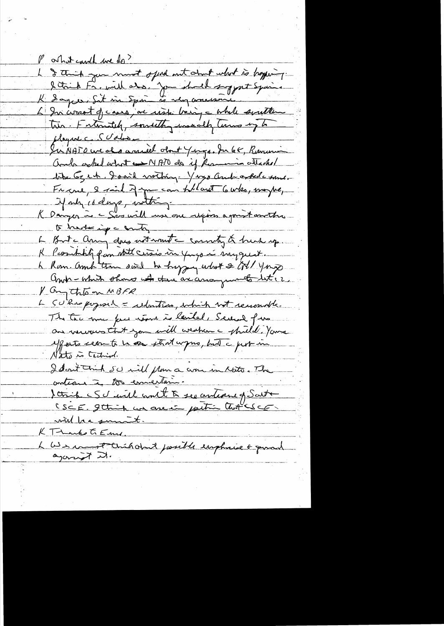Post it could be do? L & think you must offered out about what is hoping. letrich Fremil als. Jon shock suggest Spain. 6 In wrot de cases, au viste bain, a while soutten tres. Fateralek, something manuelly terms up to and other what what we NATO do if Remain attached tipe 6g et la Graid viction. Y vys and other sans. France, 2 said 7 years an follant 6 who, maybe, If any is days, with -K Danzer à Sasuill use one repois agaistancter. to harter ing a conto, L But any day not want a county & buch up. K Pcombiliz pan stitt certis in fugo in myguet. h Rom. Amb then sont tu hyper what & CN/ young Andre Which shows what is an arising unto liter. V anythou MBFR L SU'has poposit = reduction, which not remonded. The tour me pas après is lautel, Severe fun an necessarit jam will weaken a strilled Yama effects cecants in an stratarpro, but a probabin Nato is Cechine. Idont Cinh 50 mill plans a cron in Noto. The Scrip Schirl mil à ses antiques Saite <u>will be summent.</u> KT-Larks GEmy L We commet Child don't posible implicance & porad the Kingdo